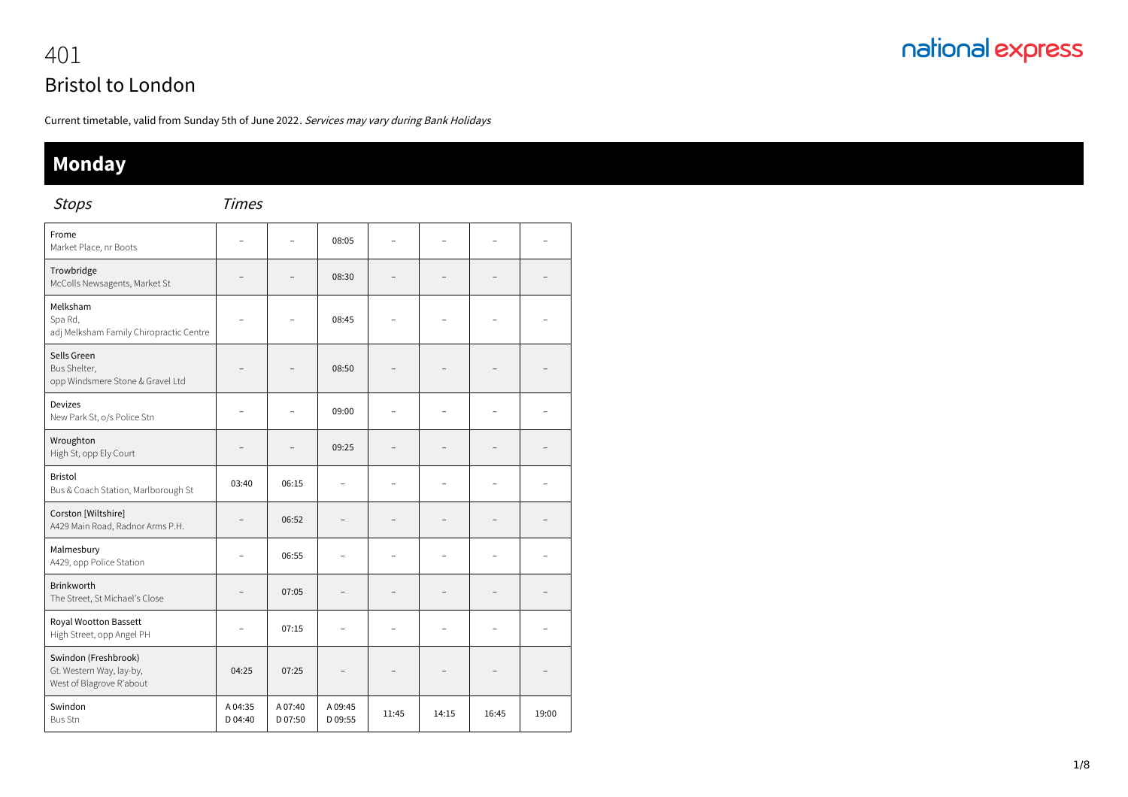## nationalexpress 401

# Bristol to London

Current timetable, valid from Sunday 5th of June 2022. Services may vary during Bank Holidays

### **Monday**

Stops Times

| $\mathop{\mathsf{vec}}$                                                      |                    |                   |                          |       |                |       |       |
|------------------------------------------------------------------------------|--------------------|-------------------|--------------------------|-------|----------------|-------|-------|
| Frome<br>Market Place, nr Boots                                              |                    | $\overline{a}$    | 08:05                    |       | L              |       |       |
| Trowbridge<br>McColls Newsagents, Market St                                  |                    |                   | 08:30                    |       |                |       |       |
| Melksham<br>Spa Rd,<br>adj Melksham Family Chiropractic Centre               |                    |                   | 08:45                    |       |                |       |       |
| Sells Green<br>Bus Shelter,<br>opp Windsmere Stone & Gravel Ltd              |                    |                   | 08:50                    |       |                |       |       |
| <b>Devizes</b><br>New Park St, o/s Police Stn                                |                    |                   | 09:00                    |       |                |       |       |
| Wroughton<br>High St, opp Ely Court                                          |                    |                   | 09:25                    |       |                |       |       |
| <b>Bristol</b><br>Bus & Coach Station, Marlborough St                        | 03:40              | 06:15             |                          |       |                |       |       |
| Corston [Wiltshire]<br>A429 Main Road, Radnor Arms P.H.                      |                    | 06:52             |                          |       |                |       |       |
| Malmesbury<br>A429, opp Police Station                                       |                    | 06:55             | $\overline{\phantom{a}}$ |       | $\overline{a}$ |       |       |
| <b>Brinkworth</b><br>The Street, St Michael's Close                          |                    | 07:05             |                          |       |                |       |       |
| Royal Wootton Bassett<br>High Street, opp Angel PH                           |                    | 07:15             |                          |       |                |       |       |
| Swindon (Freshbrook)<br>Gt. Western Way, lay-by,<br>West of Blagrove R'about | 04:25              | 07:25             |                          |       |                |       |       |
| Swindon<br><b>Bus Stn</b>                                                    | A 04:35<br>D 04:40 | A07:40<br>D 07:50 | A 09:45<br>D 09:55       | 11:45 | 14:15          | 16:45 | 19:00 |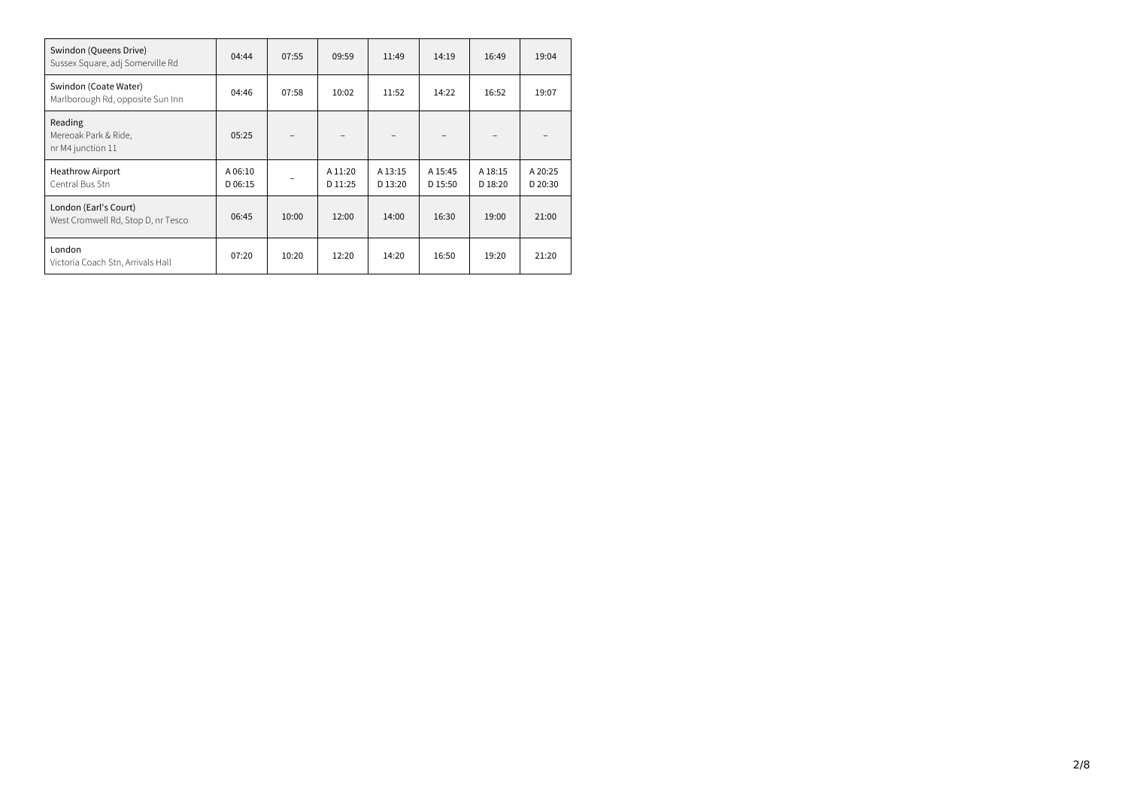| Swindon (Queens Drive)<br>Sussex Square, adj Somerville Rd  | 04:44              | 07:55 | 09:59              | 11:49              | 14:19              | 16:49              | 19:04              |
|-------------------------------------------------------------|--------------------|-------|--------------------|--------------------|--------------------|--------------------|--------------------|
| Swindon (Coate Water)<br>Marlborough Rd, opposite Sun Inn   | 04:46              | 07:58 | 10:02              | 11:52              | 14:22              | 16:52              | 19:07              |
| Reading<br>Mereoak Park & Ride,<br>nr M4 junction 11        | 05:25              |       |                    |                    |                    |                    |                    |
| <b>Heathrow Airport</b><br>Central Bus Stn                  | A 06:10<br>D 06:15 |       | A 11:20<br>D 11:25 | A 13:15<br>D 13:20 | A 15:45<br>D 15:50 | A 18:15<br>D 18:20 | A 20:25<br>D 20:30 |
| London (Earl's Court)<br>West Cromwell Rd, Stop D, nr Tesco | 06:45              | 10:00 | 12:00              | 14:00              | 16:30              | 19:00              | 21:00              |
| London<br>Victoria Coach Stn, Arrivals Hall                 | 07:20              | 10:20 | 12:20              | 14:20              | 16:50              | 19:20              | 21:20              |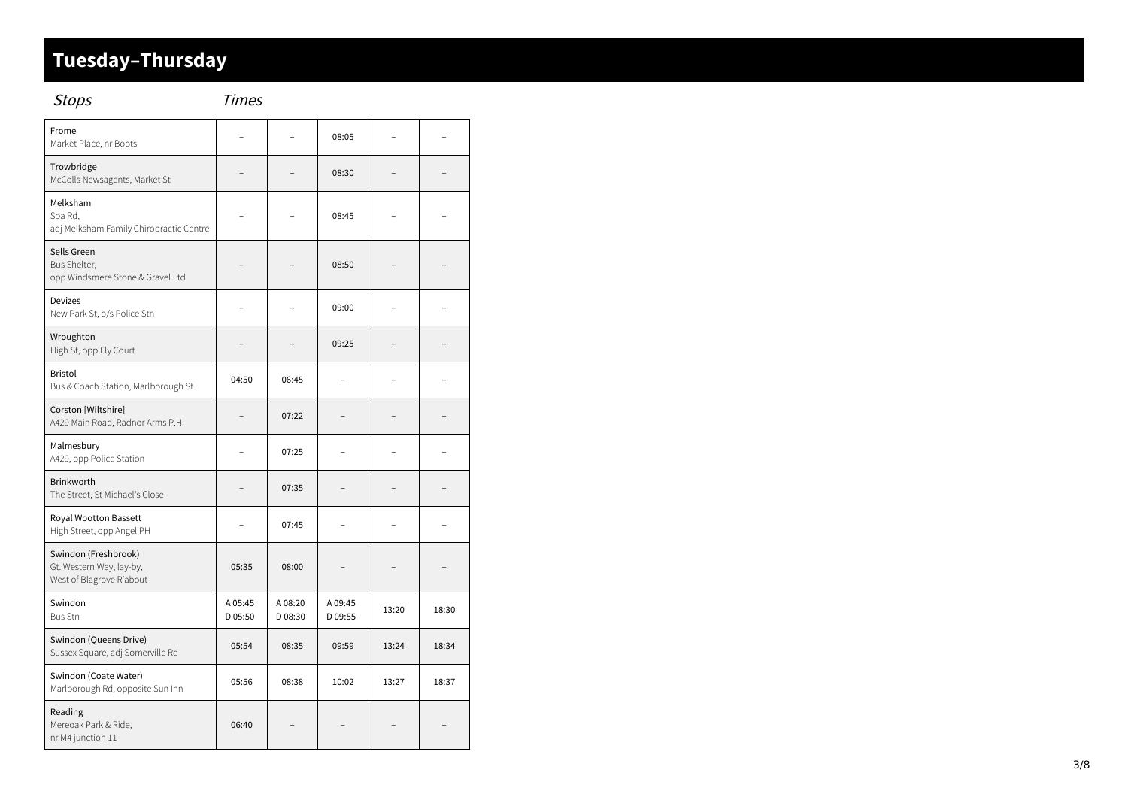#### Tuesday-Thursday

| <b>Stops</b>                                                                 | Times              |                    |                    |       |       |
|------------------------------------------------------------------------------|--------------------|--------------------|--------------------|-------|-------|
| Frome<br>Market Place, nr Boots                                              |                    |                    | 08:05              |       |       |
| Trowbridge<br>McColls Newsagents, Market St                                  |                    |                    | 08:30              |       |       |
| Melksham<br>Spa Rd,<br>adj Melksham Family Chiropractic Centre               |                    |                    | 08:45              |       |       |
| Sells Green<br>Bus Shelter,<br>opp Windsmere Stone & Gravel Ltd              |                    |                    | 08:50              |       |       |
| Devizes<br>New Park St, o/s Police Stn                                       |                    |                    | 09:00              |       |       |
| Wroughton<br>High St, opp Ely Court                                          |                    |                    | 09:25              |       |       |
| <b>Bristol</b><br>Bus & Coach Station, Marlborough St                        | 04:50              | 06:45              |                    |       |       |
| Corston [Wiltshire]<br>A429 Main Road, Radnor Arms P.H.                      |                    | 07:22              | -                  |       |       |
| Malmesbury<br>A429, opp Police Station                                       |                    | 07:25              |                    |       |       |
| Brinkworth<br>The Street, St Michael's Close                                 |                    | 07:35              |                    |       |       |
| Royal Wootton Bassett<br>High Street, opp Angel PH                           |                    | 07:45              |                    |       |       |
| Swindon (Freshbrook)<br>Gt. Western Way, lay-by,<br>West of Blagrove R'about | 05:35              | 08:00              |                    |       |       |
| Swindon<br><b>Bus Stn</b>                                                    | A 05:45<br>D 05:50 | A 08:20<br>D 08:30 | A 09:45<br>D 09:55 | 13:20 | 18:30 |
| Swindon (Queens Drive)<br>Sussex Square, adj Somerville Rd                   | 05:54              | 08:35              | 09:59              | 13:24 | 18:34 |
| Swindon (Coate Water)<br>Marlborough Rd, opposite Sun Inn                    | 05:56              | 08:38              | 10:02              | 13:27 | 18:37 |
| Reading<br>Mereoak Park & Ride,<br>nr M4 junction 11                         | 06:40              |                    |                    |       |       |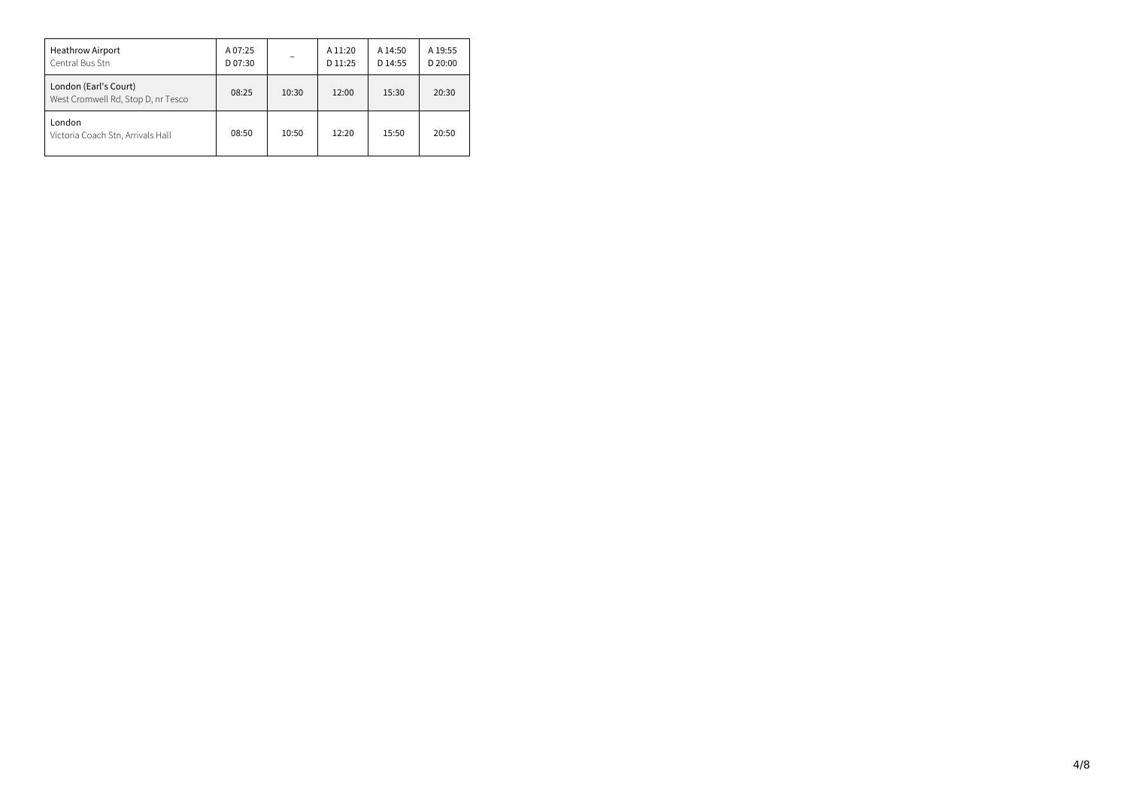| <b>Heathrow Airport</b><br>Central Bus Stn                  | A 07:25<br>D 07:30 |       | A 11:20<br>D 11:25 | A 14:50<br>D 14:55 | A 19:55<br>$D$ 20:00 |
|-------------------------------------------------------------|--------------------|-------|--------------------|--------------------|----------------------|
| London (Earl's Court)<br>West Cromwell Rd, Stop D, nr Tesco | 08:25              | 10:30 | 12:00              | 15:30              | 20:30                |
| London<br>Victoria Coach Stn, Arrivals Hall                 | 08:50              | 10:50 | 12:20              | 15:50              | 20:50                |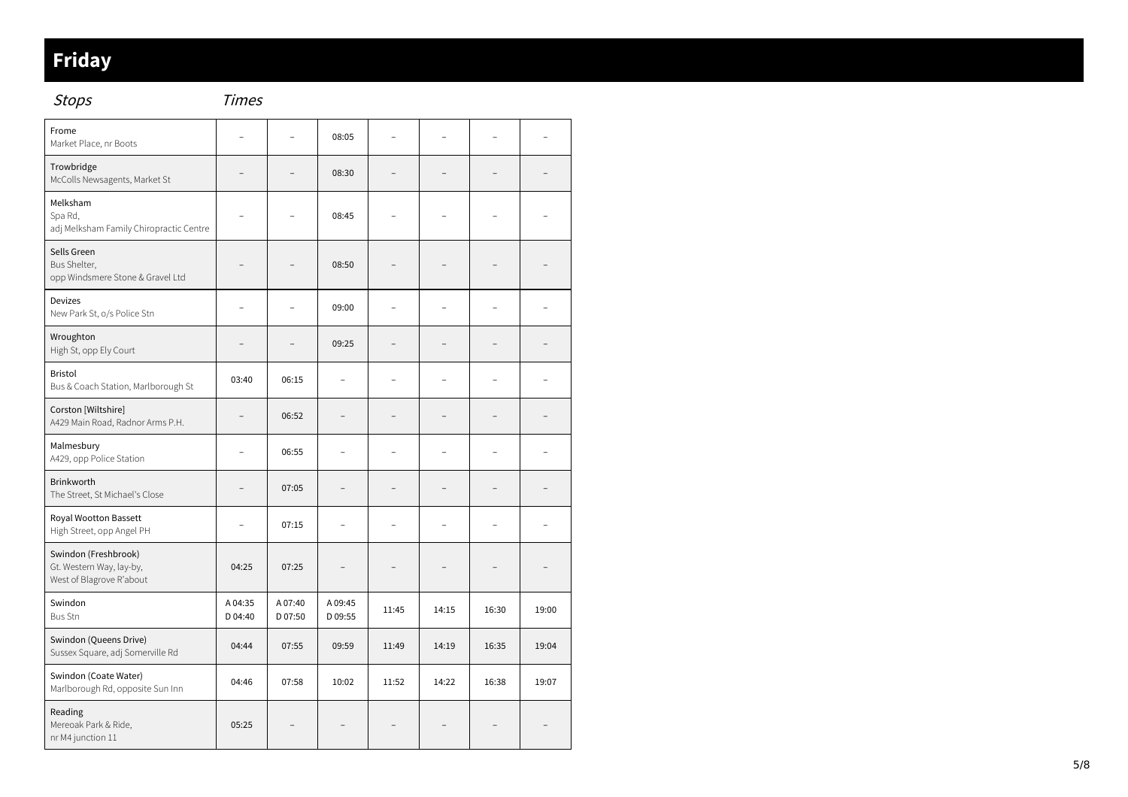#### **Friday**

Stops

| Frome<br>Market Place, nr Boots                                              |                    |                    | 08:05              |       |                |       |       |
|------------------------------------------------------------------------------|--------------------|--------------------|--------------------|-------|----------------|-------|-------|
| Trowbridge<br>McColls Newsagents, Market St                                  |                    |                    | 08:30              |       |                |       |       |
| Melksham<br>Spa Rd,<br>adj Melksham Family Chiropractic Centre               |                    |                    | 08:45              |       |                |       |       |
| Sells Green<br>Bus Shelter,<br>opp Windsmere Stone & Gravel Ltd              |                    |                    | 08:50              |       |                |       |       |
| <b>Devizes</b><br>New Park St, o/s Police Stn                                |                    |                    | 09:00              |       |                |       |       |
| Wroughton<br>High St, opp Ely Court                                          |                    |                    | 09:25              |       |                |       |       |
| <b>Bristol</b><br>Bus & Coach Station, Marlborough St                        | 03:40              | 06:15              |                    |       | $\overline{a}$ |       |       |
| Corston [Wiltshire]<br>A429 Main Road, Radnor Arms P.H.                      |                    | 06:52              |                    |       |                |       |       |
| Malmesbury<br>A429, opp Police Station                                       | Ĭ.                 | 06:55              |                    |       | $\overline{a}$ |       |       |
| <b>Brinkworth</b><br>The Street, St Michael's Close                          |                    | 07:05              |                    |       |                |       |       |
| Royal Wootton Bassett<br>High Street, opp Angel PH                           |                    | 07:15              |                    |       |                |       |       |
| Swindon (Freshbrook)<br>Gt. Western Way, lay-by,<br>West of Blagrove R'about | 04:25              | 07:25              |                    |       |                |       |       |
| Swindon<br><b>Bus Stn</b>                                                    | A 04:35<br>D 04:40 | A 07:40<br>D 07:50 | A 09:45<br>D 09:55 | 11:45 | 14:15          | 16:30 | 19:00 |
| Swindon (Queens Drive)<br>Sussex Square, adj Somerville Rd                   | 04:44              | 07:55              | 09:59              | 11:49 | 14:19          | 16:35 | 19:04 |
| Swindon (Coate Water)<br>Marlborough Rd, opposite Sun Inn                    | 04:46              | 07:58              | 10:02              | 11:52 | 14:22          | 16:38 | 19:07 |
| Reading<br>Mereoak Park & Ride,<br>nr M4 junction 11                         | 05:25              |                    |                    |       |                |       |       |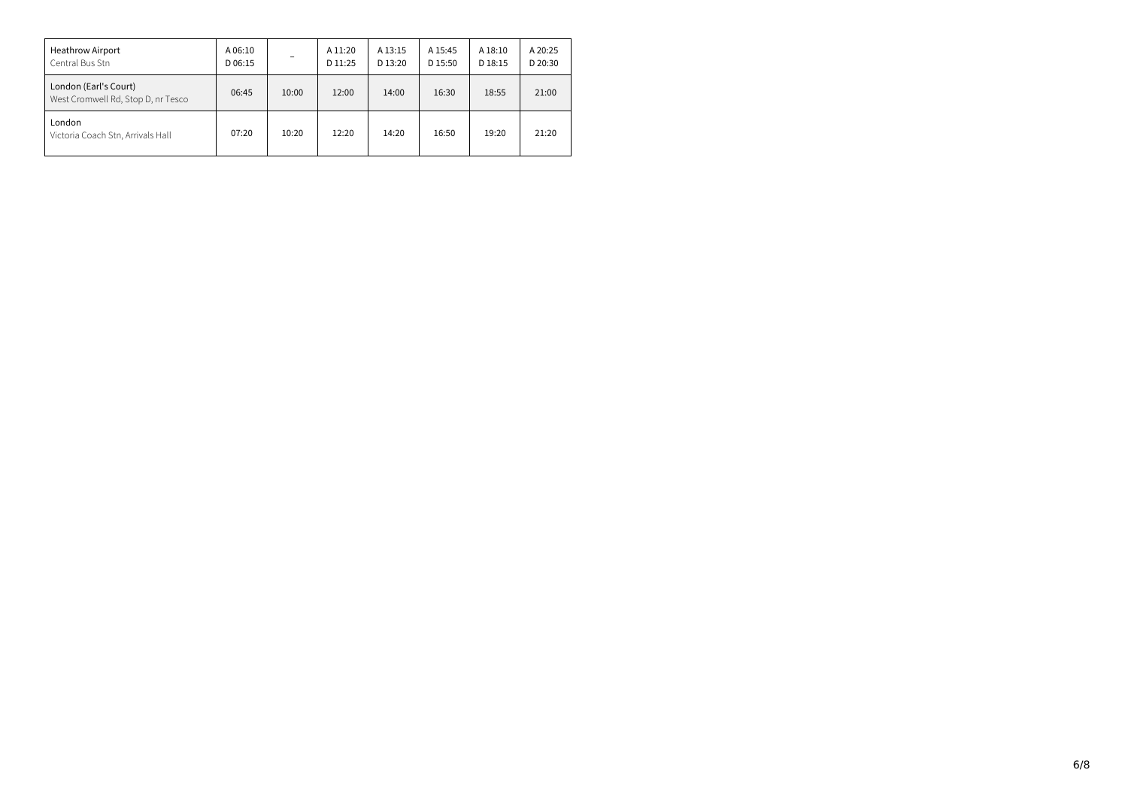| <b>Heathrow Airport</b><br>Central Bus Stn                  | A 06:10<br>D 06:15 |       | A 11:20<br>D 11:25 | A 13:15<br>D 13:20 | A 15:45<br>D 15:50 | A 18:10<br>D 18:15 | A 20:25<br>D 20:30 |
|-------------------------------------------------------------|--------------------|-------|--------------------|--------------------|--------------------|--------------------|--------------------|
| London (Earl's Court)<br>West Cromwell Rd, Stop D, nr Tesco | 06:45              | 10:00 | 12:00              | 14:00              | 16:30              | 18:55              | 21:00              |
| London<br>Victoria Coach Stn, Arrivals Hall                 | 07:20              | 10:20 | 12:20              | 14:20              | 16:50              | 19:20              | 21:20              |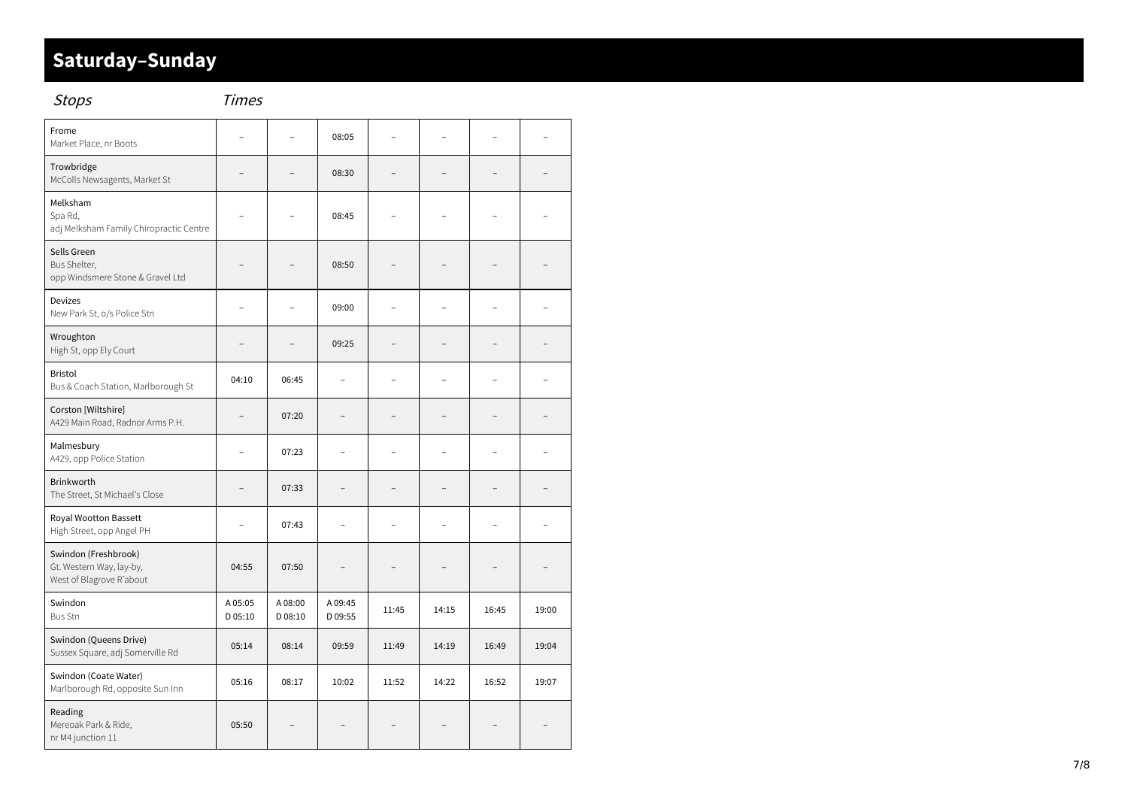#### Saturday-Sunday

| <b>Stops</b>                                                                 | <b>Times</b>       |                   |                    |                          |       |                |       |
|------------------------------------------------------------------------------|--------------------|-------------------|--------------------|--------------------------|-------|----------------|-------|
| Frome<br>Market Place, nr Boots                                              |                    |                   | 08:05              |                          |       |                |       |
| Trowbridge<br>McColls Newsagents, Market St                                  |                    |                   | 08:30              |                          |       |                |       |
| Melksham<br>Spa Rd,<br>adj Melksham Family Chiropractic Centre               |                    |                   | 08:45              |                          |       |                |       |
| Sells Green<br>Bus Shelter,<br>opp Windsmere Stone & Gravel Ltd              |                    |                   | 08:50              |                          |       |                |       |
| <b>Devizes</b><br>New Park St, o/s Police Stn                                |                    |                   | 09:00              |                          |       |                |       |
| Wroughton<br>High St, opp Ely Court                                          |                    |                   | 09:25              |                          |       |                |       |
| <b>Bristol</b><br>Bus & Coach Station, Marlborough St                        | 04:10              | 06:45             |                    |                          |       | ۳              |       |
| Corston [Wiltshire]<br>A429 Main Road, Radnor Arms P.H.                      | ۳                  | 07:20             | -                  |                          |       | ۳              |       |
| Malmesbury<br>A429, opp Police Station                                       | $\overline{a}$     | 07:23             | $\overline{a}$     |                          |       | $\overline{a}$ |       |
| Brinkworth<br>The Street, St Michael's Close                                 | L.                 | 07:33             | L                  | $\overline{\phantom{a}}$ |       | ۳              |       |
| Royal Wootton Bassett<br>High Street, opp Angel PH                           |                    | 07:43             |                    |                          |       |                |       |
| Swindon (Freshbrook)<br>Gt. Western Way, lay-by,<br>West of Blagrove R'about | 04:55              | 07:50             |                    |                          |       |                |       |
| Swindon<br><b>Bus Stn</b>                                                    | A 05:05<br>D 05:10 | A08:00<br>D 08:10 | A 09:45<br>D 09:55 | 11:45                    | 14:15 | 16:45          | 19:00 |
| Swindon (Queens Drive)<br>Sussex Square, adj Somerville Rd                   | 05:14              | 08:14             | 09:59              | 11:49                    | 14:19 | 16:49          | 19:04 |
| Swindon (Coate Water)<br>Marlborough Rd, opposite Sun Inn                    | 05:16              | 08:17             | 10:02              | 11:52                    | 14:22 | 16:52          | 19:07 |
| Reading<br>Mereoak Park & Ride,<br>nr M4 junction 11                         | 05:50              |                   |                    |                          |       |                |       |